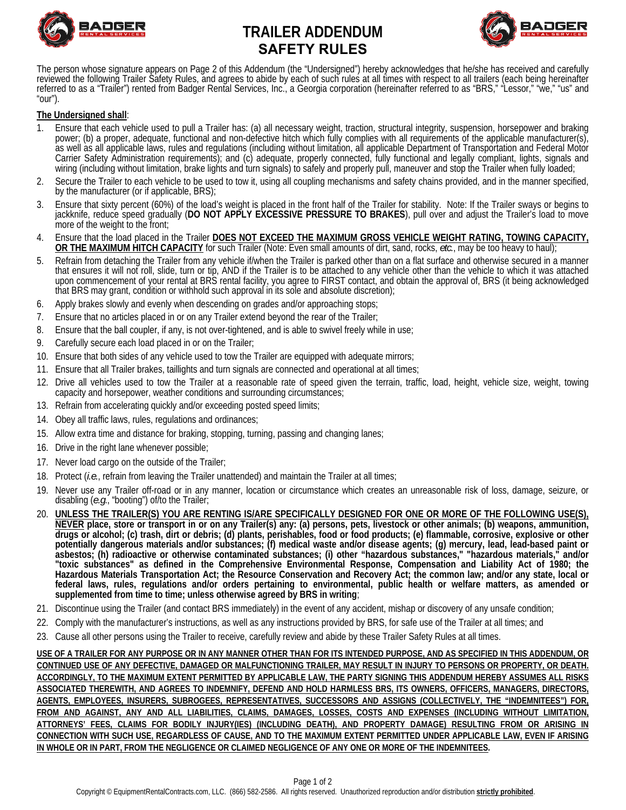

# **TRAILER ADDENDUM SAFETY RULES**



The person whose signature appears on Page 2 of this Addendum (the "Undersigned") hereby acknowledges that he/she has received and carefully reviewed the following Trailer Safety Rules, and agrees to abide by each of such rules at all times with respect to all trailers (each being hereinafter<br>referred to as a "Trailer") rented from Badger Rental Services, Inc., "our").

### **The Undersigned shall**:

- 1. Ensure that each vehicle used to pull a Trailer has: (a) all necessary weight, traction, structural integrity, suspension, horsepower and braking<br>1. power; (b) a proper, adequate, functional and non-defective hitch whic as well as all applicable laws, rules and regulations (including without limitation, all applicable Department of Transportation and Federal Motor<br>Carrier Safety Administration requirements); and (c) adequate, properly con wiring (including without limitation, brake lights and turn signals) to safely and properly pull, maneuver and stop the Trailer when fully loaded;
- 2. Secure the Trailer to each vehicle to be used to tow it, using all coupling mechanisms and safety chains provided, and in the manner specified, by the manufacturer (or if applicable, BRS);
- 3. Ensure that sixty percent (60%) of the load's weight is placed in the front half of the Trailer for stability. Note: If the Trailer sways or begins to jackknife, reduce speed gradually (DO NOT APPLY EXCESSIVE PRESSURE T more of the weight to the front;
- 4. Ensure that the load placed in the Trailer **DOES NOT EXCEED THE MAXIMUM GROSS VEHICLE WEIGHT RATING, TOWING CAPACITY, OR THE MAXIMUM HITCH CAPACITY** for such Trailer (Note: Even small amounts of dirt, sand, rocks, *etc.*, may be too heavy to haul);
- 5. Refrain from detaching the Trailer from any vehicle if/when the Trailer is parked other than on a flat surface and otherwise secured in a manner that ensures it will not roll, slide, turn or tip, AND if the Trailer is to be attached to any vehicle other than the vehicle to which it was attached upon commencement of your rental at BRS rental facility, you agree to FIRST contact, and obtain the approval of, BRS (it being acknowledged that BRS may grant, condition or withhold such approval in its sole and absolute discretion);
- 6. Apply brakes slowly and evenly when descending on grades and/or approaching stops;
- 7. Ensure that no articles placed in or on any Trailer extend beyond the rear of the Trailer;
- 8. Ensure that the ball coupler, if any, is not over-tightened, and is able to swivel freely while in use;
- 9. Carefully secure each load placed in or on the Trailer;
- 10. Ensure that both sides of any vehicle used to tow the Trailer are equipped with adequate mirrors;
- 11. Ensure that all Trailer brakes, taillights and turn signals are connected and operational at all times;
- 12. Drive all vehicles used to tow the Trailer at a reasonable rate of speed given the terrain, traffic, load, height, vehicle size, weight, towing capacity and horsepower, weather conditions and surrounding circumstances;
- 13. Refrain from accelerating quickly and/or exceeding posted speed limits;
- 14. Obey all traffic laws, rules, regulations and ordinances;
- 15. Allow extra time and distance for braking, stopping, turning, passing and changing lanes;
- 16. Drive in the right lane whenever possible;
- 17. Never load cargo on the outside of the Trailer;
- 18. Protect (*i.e.*, refrain from leaving the Trailer unattended) and maintain the Trailer at all times;
- 19. Never use any Trailer off-road or in any manner, location or circumstance which creates an unreasonable risk of loss, damage, seizure, or disabling (*e.g*., "booting") of/to the Trailer;
- 20. **UNLESS THE TRAILER(S) YOU ARE RENTING IS/ARE SPECIFICALLY DESIGNED FOR ONE OR MORE OF THE FOLLOWING USE(S), NEVER place, store or transport in or on any Trailer(s) any: (a) persons, pets, livestock or other animals; (b) weapons, ammunition, drugs or alcohol; (c) trash, dirt or debris; (d) plants, perishables, food or food products; (e) flammable, corrosive, explosive or other potentially dangerous materials and/or substances; (f) medical waste and/or disease agents; (g) mercury, lead, lead-based paint or**  asbestos; (h) radioactive or otherwise contaminated substances; (i) other "hazardous substances," "hazardous materials," and/or **"toxic substances" as defined in the Comprehensive Environmental Response, Compensation and Liability Act of 1980; the Hazardous Materials Transportation Act; the Resource Conservation and Recovery Act; the common law; and/or any state, local or federal laws, rules, regulations and/or orders pertaining to environmental, public health or welfare matters, as amended or supplemented from time to time; unless otherwise agreed by BRS in writing**;
- 21. Discontinue using the Trailer (and contact BRS immediately) in the event of any accident, mishap or discovery of any unsafe condition;
- 22. Comply with the manufacturer's instructions, as well as any instructions provided by BRS, for safe use of the Trailer at all times; and
- 23. Cause all other persons using the Trailer to receive, carefully review and abide by these Trailer Safety Rules at all times.

**USE OF A TRAILER FOR ANY PURPOSE OR IN ANY MANNER OTHER THAN FOR ITS INTENDED PURPOSE, AND AS SPECIFIED IN THIS ADDENDUM, OR CONTINUED USE OF ANY DEFECTIVE, DAMAGED OR MALFUNCTIONING TRAILER, MAY RESULT IN INJURY TO PERSONS OR PROPERTY, OR DEATH. ACCORDINGLY, TO THE MAXIMUM EXTENT PERMITTED BY APPLICABLE LAW, THE PARTY SIGNING THIS ADDENDUM HEREBY ASSUMES ALL RISKS ASSOCIATED THEREWITH, AND AGREES TO INDEMNIFY, DEFEND AND HOLD HARMLESS BRS, ITS OWNERS, OFFICERS, MANAGERS, DIRECTORS, AGENTS, EMPLOYEES, INSURERS, SUBROGEES, REPRESENTATIVES, SUCCESSORS AND ASSIGNS (COLLECTIVELY, THE "INDEMNITEES") FOR, FROM AND AGAINST, ANY AND ALL LIABILITIES, CLAIMS, DAMAGES, LOSSES, COSTS AND EXPENSES (INCLUDING WITHOUT LIMITATION, ATTORNEYS' FEES, CLAIMS FOR BODILY INJURY(IES) (INCLUDING DEATH), AND PROPERTY DAMAGE) RESULTING FROM OR ARISING IN CONNECTION WITH SUCH USE, REGARDLESS OF CAUSE, AND TO THE MAXIMUM EXTENT PERMITTED UNDER APPLICABLE LAW, EVEN IF ARISING IN WHOLE OR IN PART, FROM THE NEGLIGENCE OR CLAIMED NEGLIGENCE OF ANY ONE OR MORE OF THE INDEMNITEES.**